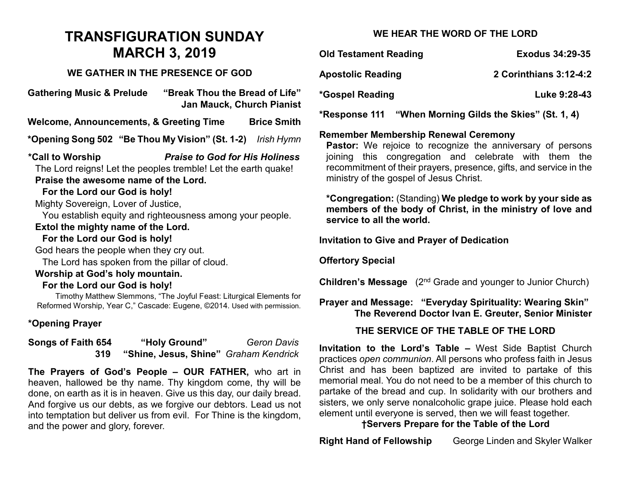# **TRANSFIGURATION SUNDAY MARCH 3, 2019**

#### **WE GATHER IN THE PRESENCE OF GOD**

**Gathering Music & Prelude "Break Thou the Bread of Life" Jan Mauck, Church Pianist Welcome, Announcements, & Greeting Time Brice Smith \*Opening Song 502 "Be Thou My Vision" (St. 1-2)** *Irish Hymn* **\*Call to Worship** *Praise to God for His Holiness*  The Lord reigns! Let the peoples tremble! Let the earth quake! **Praise the awesome name of the Lord. For the Lord our God is holy!** Mighty Sovereign, Lover of Justice, You establish equity and righteousness among your people. **Extol the mighty name of the Lord. For the Lord our God is holy!** God hears the people when they cry out. The Lord has spoken from the pillar of cloud. **Worship at God's holy mountain. For the Lord our God is holy!** Timothy Matthew Slemmons, "The Joyful Feast: Liturgical Elements for Reformed Worship, Year C," Cascade: Eugene, ©2014. Used with permission. **\*Opening Prayer Songs of Faith 654 "Holy Ground"** *Geron Davis*

**The Prayers of God's People – OUR FATHER,** who art in heaven, hallowed be thy name. Thy kingdom come, thy will be done, on earth as it is in heaven. Give us this day, our daily bread. And forgive us our debts, as we forgive our debtors. Lead us not into temptation but deliver us from evil. For Thine is the kingdom, and the power and glory, forever.

**319****"Shine, Jesus, Shine"** *Graham Kendrick*

## **WE HEAR THE WORD OF THE LORD**

| <b>Old Testament Reading</b> | <b>Exodus 34:29-35</b> |
|------------------------------|------------------------|
| <b>Apostolic Reading</b>     | 2 Corinthians 3:12-4:2 |
| *Gospel Reading              | Luke 9:28-43           |
|                              |                        |

**\*Response 111 "When Morning Gilds the Skies" (St. 1, 4)**

### **Remember Membership Renewal Ceremony**

Pastor: We rejoice to recognize the anniversary of persons joining this congregation and celebrate with them the recommitment of their prayers, presence, gifts, and service in the ministry of the gospel of Jesus Christ.

**\*Congregation:** (Standing) **We pledge to work by your side as members of the body of Christ, in the ministry of love and service to all the world.**

**Invitation to Give and Prayer of Dedication** 

**Offertory Special**

**Children's Message** (2<sup>nd</sup> Grade and younger to Junior Church)

## **Prayer and Message: "Everyday Spirituality: Wearing Skin" The Reverend Doctor Ivan E. Greuter, Senior Minister**

## **THE SERVICE OF THE TABLE OF THE LORD**

**Invitation to the Lord's Table –** West Side Baptist Church practices *open communion*. All persons who profess faith in Jesus Christ and has been baptized are invited to partake of this memorial meal. You do not need to be a member of this church to partake of the bread and cup. In solidarity with our brothers and sisters, we only serve nonalcoholic grape juice. Please hold each element until everyone is served, then we will feast together.

### **†Servers Prepare for the Table of the Lord**

**Right Hand of Fellowship** George Linden and Skyler Walker